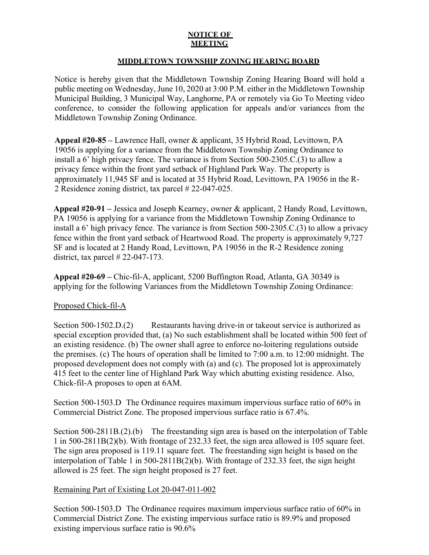## **NOTICE OF MEETING**

## **MIDDLETOWN TOWNSHIP ZONING HEARING BOARD**

Notice is hereby given that the Middletown Township Zoning Hearing Board will hold a public meeting on Wednesday, June 10, 2020 at 3:00 P.M. either in the Middletown Township Municipal Building, 3 Municipal Way, Langhorne, PA or remotely via Go To Meeting video conference, to consider the following application for appeals and/or variances from the Middletown Township Zoning Ordinance.

**Appeal #20-85 –** Lawrence Hall, owner & applicant, 35 Hybrid Road, Levittown, PA 19056 is applying for a variance from the Middletown Township Zoning Ordinance to install a 6' high privacy fence. The variance is from Section 500-2305.C.(3) to allow a privacy fence within the front yard setback of Highland Park Way. The property is approximately 11,945 SF and is located at 35 Hybrid Road, Levittown, PA 19056 in the R-2 Residence zoning district, tax parcel # 22-047-025.

**Appeal #20-91 –** Jessica and Joseph Kearney, owner & applicant, 2 Handy Road, Levittown, PA 19056 is applying for a variance from the Middletown Township Zoning Ordinance to install a 6' high privacy fence. The variance is from Section 500-2305.C.(3) to allow a privacy fence within the front yard setback of Heartwood Road. The property is approximately 9,727 SF and is located at 2 Handy Road, Levittown, PA 19056 in the R-2 Residence zoning district, tax parcel # 22-047-173.

**Appeal #20-69 –** Chic-fil-A, applicant, 5200 Buffington Road, Atlanta, GA 30349 is applying for the following Variances from the Middletown Township Zoning Ordinance:

## Proposed Chick-fil-A

Section 500-1502.D.(2) Restaurants having drive-in or takeout service is authorized as special exception provided that, (a) No such establishment shall be located within 500 feet of an existing residence. (b) The owner shall agree to enforce no-loitering regulations outside the premises. (c) The hours of operation shall be limited to 7:00 a.m. to 12:00 midnight. The proposed development does not comply with (a) and (c). The proposed lot is approximately 415 feet to the center line of Highland Park Way which abutting existing residence. Also, Chick-fil-A proposes to open at 6AM.

Section 500-1503.D The Ordinance requires maximum impervious surface ratio of 60% in Commercial District Zone. The proposed impervious surface ratio is 67.4%.

Section 500-2811B.(2).(b) The freestanding sign area is based on the interpolation of Table 1 in 500-2811B(2)(b). With frontage of 232.33 feet, the sign area allowed is 105 square feet. The sign area proposed is 119.11 square feet. The freestanding sign height is based on the interpolation of Table 1 in 500-2811B(2)(b). With frontage of 232.33 feet, the sign height allowed is 25 feet. The sign height proposed is 27 feet.

## Remaining Part of Existing Lot 20-047-011-002

Section 500-1503.D The Ordinance requires maximum impervious surface ratio of 60% in Commercial District Zone. The existing impervious surface ratio is 89.9% and proposed existing impervious surface ratio is 90.6%